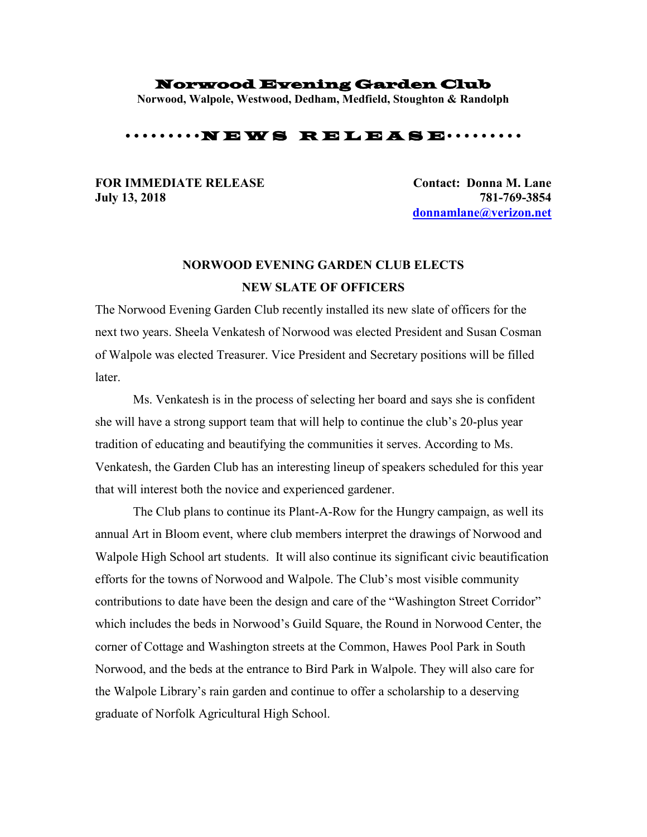## Norwood Evening Garden Club

**Norwood, Walpole, Westwood, Dedham, Medfield, Stoughton & Randolph**

## ••••••••••••• N E W S R E L E A S E••••••••••

## **July 13, 2018 781-769-3854**

**FOR IMMEDIATE RELEASE Contact: Donna M. Lane [donnamlane@verizon.net](mailto:donnamlane@verizon.net)**

## **NORWOOD EVENING GARDEN CLUB ELECTS NEW SLATE OF OFFICERS**

The Norwood Evening Garden Club recently installed its new slate of officers for the next two years. Sheela Venkatesh of Norwood was elected President and Susan Cosman of Walpole was elected Treasurer. Vice President and Secretary positions will be filled later.

Ms. Venkatesh is in the process of selecting her board and says she is confident she will have a strong support team that will help to continue the club's 20-plus year tradition of educating and beautifying the communities it serves. According to Ms. Venkatesh, the Garden Club has an interesting lineup of speakers scheduled for this year that will interest both the novice and experienced gardener.

The Club plans to continue its Plant-A-Row for the Hungry campaign, as well its annual Art in Bloom event, where club members interpret the drawings of Norwood and Walpole High School art students. It will also continue its significant civic beautification efforts for the towns of Norwood and Walpole. The Club's most visible community contributions to date have been the design and care of the "Washington Street Corridor" which includes the beds in Norwood's Guild Square, the Round in Norwood Center, the corner of Cottage and Washington streets at the Common, Hawes Pool Park in South Norwood, and the beds at the entrance to Bird Park in Walpole. They will also care for the Walpole Library's rain garden and continue to offer a scholarship to a deserving graduate of Norfolk Agricultural High School.